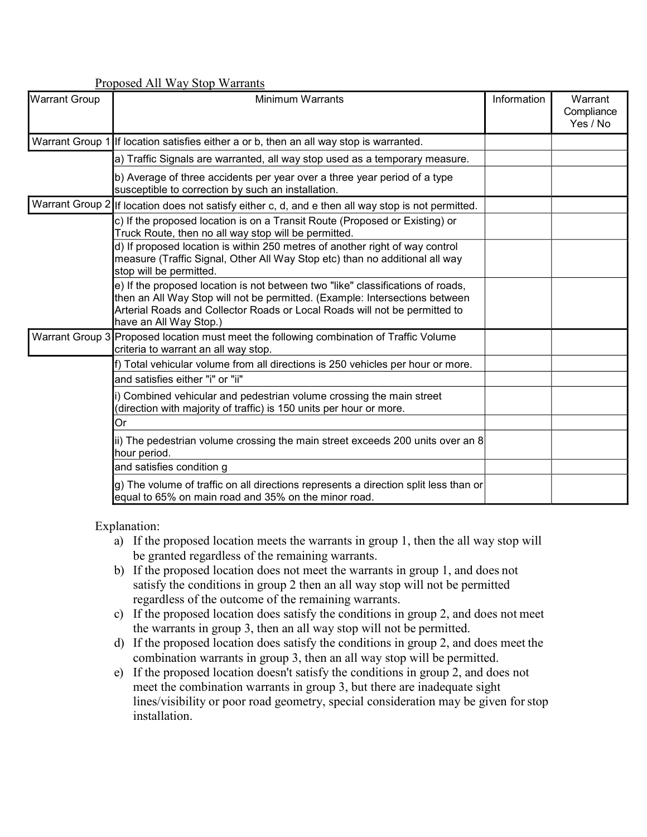| <b>Proposed All Way Stop Warrants</b> |                                                                                                                                                                                                                                                                        |             |                                   |
|---------------------------------------|------------------------------------------------------------------------------------------------------------------------------------------------------------------------------------------------------------------------------------------------------------------------|-------------|-----------------------------------|
| <b>Warrant Group</b>                  | <b>Minimum Warrants</b>                                                                                                                                                                                                                                                | Information | Warrant<br>Compliance<br>Yes / No |
|                                       | Warrant Group 1 If location satisfies either a or b, then an all way stop is warranted.                                                                                                                                                                                |             |                                   |
|                                       | a) Traffic Signals are warranted, all way stop used as a temporary measure.                                                                                                                                                                                            |             |                                   |
|                                       | b) Average of three accidents per year over a three year period of a type<br>susceptible to correction by such an installation.                                                                                                                                        |             |                                   |
|                                       | Warrant Group 2  If location does not satisfy either c, d, and e then all way stop is not permitted.                                                                                                                                                                   |             |                                   |
|                                       | c) If the proposed location is on a Transit Route (Proposed or Existing) or<br>Truck Route, then no all way stop will be permitted.                                                                                                                                    |             |                                   |
|                                       | d) If proposed location is within 250 metres of another right of way control<br>measure (Traffic Signal, Other All Way Stop etc) than no additional all way<br>stop will be permitted.                                                                                 |             |                                   |
|                                       | e) If the proposed location is not between two "like" classifications of roads,<br>then an All Way Stop will not be permitted. (Example: Intersections between<br>Arterial Roads and Collector Roads or Local Roads will not be permitted to<br>have an All Way Stop.) |             |                                   |
|                                       | Warrant Group 3 Proposed location must meet the following combination of Traffic Volume<br>criteria to warrant an all way stop.                                                                                                                                        |             |                                   |
|                                       | f) Total vehicular volume from all directions is 250 vehicles per hour or more.                                                                                                                                                                                        |             |                                   |
|                                       | and satisfies either "i" or "ii"                                                                                                                                                                                                                                       |             |                                   |
|                                       | i) Combined vehicular and pedestrian volume crossing the main street<br>(direction with majority of traffic) is 150 units per hour or more.                                                                                                                            |             |                                   |
|                                       | Or                                                                                                                                                                                                                                                                     |             |                                   |
|                                       | ii) The pedestrian volume crossing the main street exceeds 200 units over an 8<br>hour period.                                                                                                                                                                         |             |                                   |
|                                       | and satisfies condition g                                                                                                                                                                                                                                              |             |                                   |
|                                       | $\left  g \right $ The volume of traffic on all directions represents a direction split less than or<br>equal to 65% on main road and 35% on the minor road.                                                                                                           |             |                                   |

Explanation:

- a) If the proposed location meets the warrants in group 1, then the all way stop will be granted regardless of the remaining warrants.
- b) If the proposed location does not meet the warrants in group 1, and does not satisfy the conditions in group 2 then an all way stop will not be permitted regardless of the outcome of the remaining warrants.
- c) If the proposed location does satisfy the conditions in group 2, and does not meet the warrants in group 3, then an all way stop will not be permitted.
- d) If the proposed location does satisfy the conditions in group 2, and does meet the combination warrants in group 3, then an all way stop will be permitted.
- e) If the proposed location doesn't satisfy the conditions in group 2, and does not meet the combination warrants in group 3, but there are inadequate sight lines/visibility or poor road geometry, special consideration may be given forstop installation.